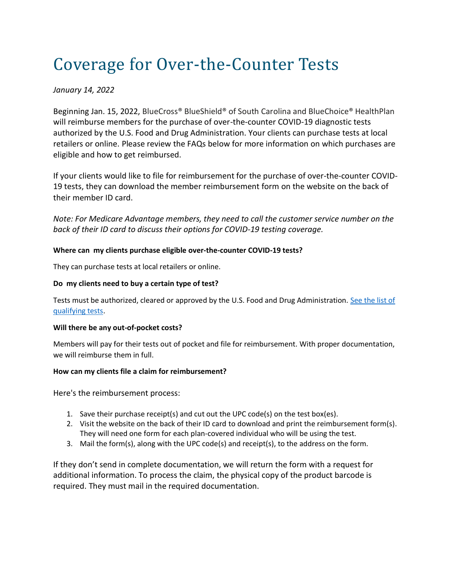# Coverage for Over-the-Counter Tests

# *January 14, 2022*

Beginning Jan. 15, 2022, BlueCross® BlueShield® of South Carolina and BlueChoice® HealthPlan will reimburse members for the purchase of over-the-counter COVID-19 diagnostic tests authorized by the U.S. Food and Drug Administration. Your clients can purchase tests at local retailers or online. Please review the FAQs below for more information on which purchases are eligible and how to get reimbursed.

If your clients would like to file for reimbursement for the purchase of over-the-counter COVID-19 tests, they can download the member reimbursement form on the website on the back of their member ID card.

*Note: For Medicare Advantage members, they need to call the customer service number on the back of their ID card to discuss their options for COVID-19 testing coverage.*

## **Where can my clients purchase eligible over-the-counter COVID-19 tests?**

They can purchase tests at local retailers or online.

## **Do my clients need to buy a certain type of test?**

Tests must be authorized, cleared or approved by the U.S. Food and Drug Administration. See the list of [qualifying tests.](https://www.fda.gov/medical-devices/coronavirus-disease-2019-covid-19-emergency-use-authorizations-medical-devices/in-vitro-diagnostics-euas-antigen-diagnostic-tests-sars-cov-2)

#### **Will there be any out-of-pocket costs?**

Members will pay for their tests out of pocket and file for reimbursement. With proper documentation, we will reimburse them in full.

#### **How can my clients file a claim for reimbursement?**

Here's the reimbursement process:

- 1. Save their purchase receipt(s) and cut out the UPC code(s) on the test box(es).
- 2. Visit the website on the back of their ID card to download and print the reimbursement form(s). They will need one form for each plan-covered individual who will be using the test.
- 3. Mail the form(s), along with the UPC code(s) and receipt(s), to the address on the form.

If they don't send in complete documentation, we will return the form with a request for additional information. To process the claim, the physical copy of the product barcode is required. They must mail in the required documentation.